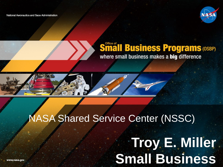National Aeronautics and Sace Administration



#### **Småll Business Programs (OSBP)** where small business makes a big difference



### NASA Shared Service Center (NSSC)

# **Troy E. Miller Small Business**  1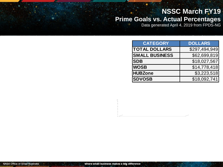#### **NSSC March FY19 Prime Goals vs. Actual Percentages**

Data generated April 4, 2019 from FPDS-NG

| <b>CATEGORY</b>       | <b>DOLLARS</b> |
|-----------------------|----------------|
| <b>TOTAL DOLLARS</b>  | \$297,494,949  |
| <b>SMALL BUSINESS</b> | \$62,699,819   |
| <b>SDB</b>            | \$18,027,567   |
| <b>WOSB</b>           | \$14,778,418   |
| <b>HUBZone</b>        | \$3,223,518    |
| <b>SDVOSB</b>         | \$18,092,741   |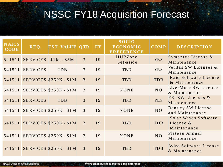# **NSSC FY18 Acquisition Forecast**

| <b>NAICS</b><br><b>CODE</b> | REQ.            | <b>EST. VALUE QTR</b>         |                | <b>FY</b> | <b>SOCIO</b><br><b>ECONOMIC</b><br><b>PREFERENCE</b> | $\overline{\text{COMP}}$ | <b>DESCRIPTION</b>                               |
|-----------------------------|-----------------|-------------------------------|----------------|-----------|------------------------------------------------------|--------------------------|--------------------------------------------------|
| 541511                      | <b>SERVICES</b> | $$1M - $5M$                   | $\overline{3}$ | 19        | HUBZone<br>Set-aside                                 | <b>YES</b>               | Symantec License &<br>Maintenance                |
|                             | 541511 SERVICES | <b>TDB</b>                    | 3              | 19        | TBD                                                  | <b>YES</b>               | Veritas SW Licenses &<br>Maintenance             |
|                             |                 | 541511 SERVICES \$250K - \$1M | 3              | 19        | TBD                                                  | <b>TDB</b>               | Raid Software License<br>& Maintenance           |
|                             |                 | 541511 SERVICES \$250K - \$1M | 3              | 19        | <b>NONE</b>                                          | NO <sub>1</sub>          | LiverMore SW License<br>& Maintenance            |
| 541511                      | <b>SERVICES</b> | <b>TDB</b>                    | $\overline{3}$ | 19        | TBD                                                  | <b>YES</b>               | FEI SW Licenses &<br>Maintenance                 |
|                             |                 | 541511 SERVICES \$250K - \$1M | 3              | 19        | <b>NONE</b>                                          | <b>NO</b>                | Bentley SW License<br>and Maintenance            |
|                             |                 | 541511 SERVICES \$250K - \$1M | 3              | 19        | <b>TBD</b>                                           | <b>TDB</b>               | Solar Winds Software<br>License &<br>Maintenance |
|                             |                 | 541511 SERVICES \$250K - \$1M | 3              | 19        | <b>NONE</b>                                          | NO.                      | Plateau Annual<br>Maintenance                    |
| 541511                      |                 | SERVICES $$250K - $1M$        | 3              | 19        | <b>TBD</b>                                           | <b>TDB</b>               | Avizo Software License<br>& Maintenance          |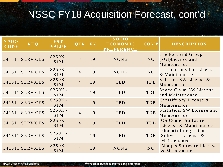## NSSC FY18 Acquisition Forecast, cont'd

| <b>NAICS</b><br><b>CODE</b> | REQ.            | EST.<br><b>VALUE</b> | <b>QTR</b>     | FY | <b>SOCIO</b><br><b>ECONOMIC</b><br><b>PREFERENCE</b> | <b>COMP</b> | <b>DESCRIPTION</b>                                       |
|-----------------------------|-----------------|----------------------|----------------|----|------------------------------------------------------|-------------|----------------------------------------------------------|
|                             | 541511 SERVICES | $$250K -$<br>\$1M    | $\overline{3}$ | 19 | <b>NONE</b>                                          | NO          | The Portland Group<br>(PGI)License and<br>Maintenance    |
|                             | 541511 SERVICES | $$250K -$<br>\$1M    | $\overline{4}$ | 19 | <b>NONE</b>                                          | NO.         | a.i. solutions Inc. License<br>& Maintenance             |
|                             | 541511 SERVICES | $$250K -$<br>\$1M    | $\overline{4}$ | 19 | <b>TBD</b>                                           | <b>TDB</b>  | Seimens SW License &<br>Maintenance                      |
|                             | 541511 SERVICES | $$250K -$<br>\$1M    | $\overline{4}$ | 19 | <b>TBD</b>                                           | <b>TDB</b>  | Space Claim SW License<br>and Maintenance                |
|                             | 541511 SERVICES | $$250K -$<br>\$1M    | $\overline{4}$ | 19 | <b>TBD</b>                                           | <b>TDB</b>  | Centrify SW License &<br>Maintenance                     |
|                             | 541511 SERVICES | $$250K -$<br>\$1M    | $\overline{4}$ | 19 | <b>TBD</b>                                           | <b>TDB</b>  | Statistical SW License and<br>Maintenance                |
|                             | 541511 SERVICES | $$250K -$<br>\$1M    | $\overline{4}$ | 19 | <b>TBD</b>                                           | <b>TDB</b>  | OS Comet Software<br>License & Maintenance               |
|                             | 541511 SERVICES | $$250K -$<br>\$1M    | $\overline{4}$ | 19 | <b>TBD</b>                                           | <b>TDB</b>  | Phoenix Integration<br>Software License &<br>Maintenance |
|                             | 541511 SERVICES | $$250K -$<br>\$1M    | $\overline{4}$ | 19 | <b>NONE</b>                                          | NO.         | Abaqus Software License<br>& Maintenance                 |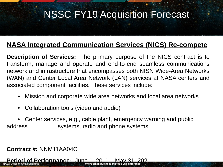### NSSC FY19 Acquisition Forecast

#### **NASA Integrated Communication Services (NICS) Re-compete**

**Description of Services:** The primary purpose of the NICS contract is to transform, manage and operate and end-to-end seamless communications network and infrastructure that encompasses both NISN Wide-Area Networks (WAN) and Center Local Area Network (LAN) services at NASA centers and associated component facilities. These services include:

• Mission and corporate wide area networks and local area networks

5

• Collaboration tools (video and audio)

• Center services, e.g., cable plant, emergency warning and public address systems, radio and phone systems

#### **Contract #:** NNM11AA04C

**Period of Performance:** June 1, 2011 – May 31, 2021<br>MASA Office of Small Business<br>Where small business makes a big difference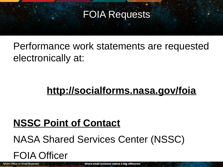### FOIA Requests

Performance work statements are requested electronically at:

### **http://socialforms.nasa.gov/foia**

### **NSSC Point of Contact**

NASA Shared Services Center (NSSC)

### FOIA Officer

**NASA Office of Small Business** 

6